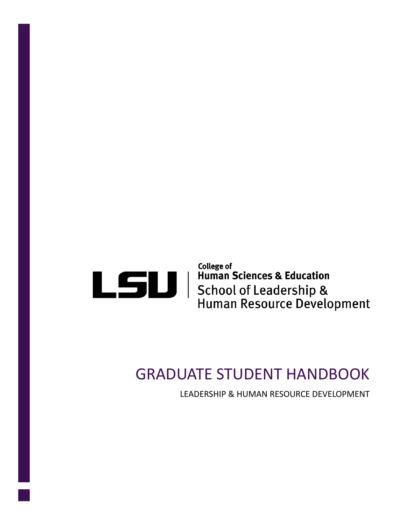

# GRADUATE STUDENT HANDBOOK

LEADERSHIP & HUMAN RESOURCE DEVELOPMENT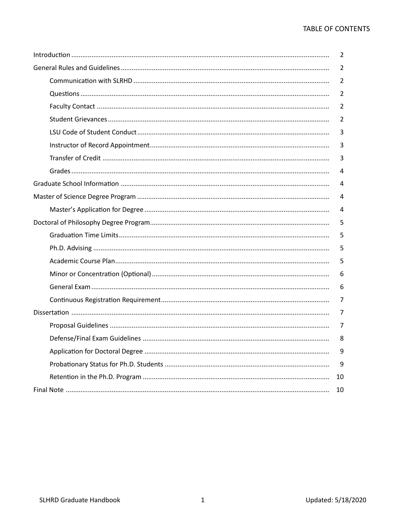| 2  |
|----|
| 2  |
| 2  |
| 2  |
| 2  |
| 2  |
| 3  |
| 3  |
| 3  |
| 4  |
| 4  |
| 4  |
| 4  |
| 5  |
| 5  |
| 5  |
| 5  |
| 6  |
| 6  |
| 7  |
| 7  |
| 7  |
| 8  |
| 9  |
| 9  |
| 10 |
| 10 |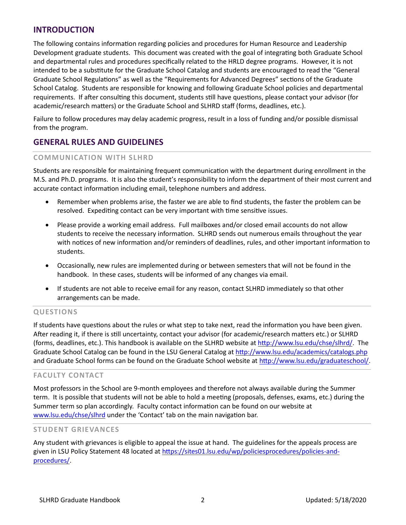# **INTRODUCTION**

The following contains information regarding policies and procedures for Human Resource and Leadership Development graduate students. This document was created with the goal of integrating both Graduate School and departmental rules and procedures specifically related to the HRLD degree programs. However, it is not intended to be a substitute for the Graduate School Catalog and students are encouraged to read the "General Graduate School Regulations" as well as the "Requirements for Advanced Degrees" sections of the Graduate School Catalog. Students are responsible for knowing and following Graduate School policies and departmental requirements. If after consulting this document, students still have questions, please contact your advisor (for academic/research matters) or the Graduate School and SLHRD staff (forms, deadlines, etc.).

Failure to follow procedures may delay academic progress, result in a loss of funding and/or possible dismissal from the program.

# **GENERAL RULES AND GUIDELINES**

#### **COMMUNICATION WITH SLHRD**

Students are responsible for maintaining frequent communication with the department during enrollment in the M.S. and Ph.D. programs. It is also the student's responsibility to inform the department of their most current and accurate contact information including email, telephone numbers and address.

- Remember when problems arise, the faster we are able to find students, the faster the problem can be resolved. Expediting contact can be very important with time sensitive issues.
- Please provide a working email address. Full mailboxes and/or closed email accounts do not allow students to receive the necessary information. SLHRD sends out numerous emails throughout the year with notices of new information and/or reminders of deadlines, rules, and other important information to students.
- Occasionally, new rules are implemented during or between semesters that will not be found in the handbook. In these cases, students will be informed of any changes via email.
- If students are not able to receive email for any reason, contact SLHRD immediately so that other arrangements can be made.

# **QUESTIONS**

If students have questions about the rules or what step to take next, read the information you have been given. After reading it, if there is still uncertainty, contact your advisor (for academic/research matters etc.) or SLHRD (forms, deadlines, etc.). This handbook is available on the SLHRD website at [http://www.lsu.edu/chse/slhrd/.](http://www.lsu.edu/chse/slhrd/) The Graduate School Catalog can be found in the LSU General Catalog at<http://www.lsu.edu/academics/catalogs.php> and Graduate School forms can be found on the Graduate School website at [http://www.lsu.edu/graduateschool/.](http://www.lsu.edu/graduateschool/)

# **FACULTY CONTACT**

Most professors in the School are 9-month employees and therefore not always available during the Summer term. It is possible that students will not be able to hold a meeting (proposals, defenses, exams, etc.) during the Summer term so plan accordingly. Faculty contact information can be found on our website at [www.lsu.edu/chse/slhrd](http://www.lsu.edu/chse/slhrd) under the 'Contact' tab on the main navigation bar.

#### **STUDENT GRIEVANCES**

Any student with grievances is eligible to appeal the issue at hand. The guidelines for the appeals process are given in LSU Policy Statement 48 located a[t https://sites01.lsu.edu/wp/policiesprocedures/policies-and](https://sites01.lsu.edu/wp/policiesprocedures/policies-and-procedures/)[procedures/.](https://sites01.lsu.edu/wp/policiesprocedures/policies-and-procedures/)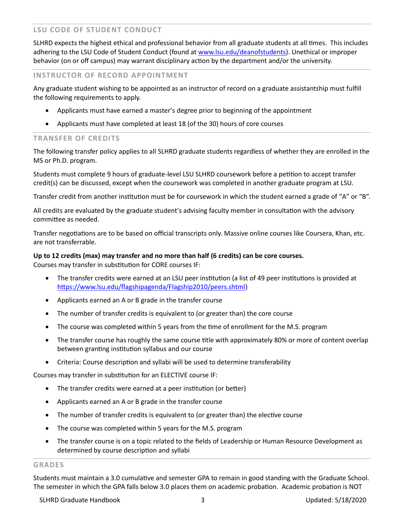# **LSU CODE OF STUDENT CONDUCT**

SLHRD expects the highest ethical and professional behavior from all graduate students at all times. This includes adhering to the LSU Code of Student Conduct (found at [www.lsu.edu/deanofstudents\)](http://www.lsu.edu/deanofstudents). Unethical or improper behavior (on or off campus) may warrant disciplinary action by the department and/or the university.

## **INSTRUCTOR OF RECORD APPOINTMENT**

Any graduate student wishing to be appointed as an instructor of record on a graduate assistantship must fulfill the following requirements to apply.

- Applicants must have earned a master's degree prior to beginning of the appointment
- Applicants must have completed at least 18 (of the 30) hours of core courses

# **TRANSFER OF CREDITS**

The following transfer policy applies to all SLHRD graduate students regardless of whether they are enrolled in the MS or Ph.D. program.

Students must complete 9 hours of graduate-level LSU SLHRD coursework before a petition to accept transfer credit(s) can be discussed, except when the coursework was completed in another graduate program at LSU.

Transfer credit from another institution must be for coursework in which the student earned a grade of "A" or "B".

All credits are evaluated by the graduate student's advising faculty member in consultation with the advisory committee as needed.

Transfer negotiations are to be based on official transcripts only. Massive online courses like Coursera, Khan, etc. are not transferrable.

# **Up to 12 credits (max) may transfer and no more than half (6 credits) can be core courses.**

Courses may transfer in substitution for CORE courses IF:

- The transfer credits were earned at an LSU peer institution (a list of 49 peer institutions is provided at [https://www.lsu.edu/flagshipagenda/Flagship2010/peers.shtml\)](https://www.lsu.edu/flagshipagenda/Flagship2010/peers.shtml)
- Applicants earned an A or B grade in the transfer course
- The number of transfer credits is equivalent to (or greater than) the core course
- The course was completed within 5 years from the time of enrollment for the M.S. program
- The transfer course has roughly the same course title with approximately 80% or more of content overlap between granting institution syllabus and our course
- Criteria: Course description and syllabi will be used to determine transferability

Courses may transfer in substitution for an ELECTIVE course IF:

- The transfer credits were earned at a peer institution (or better)
- Applicants earned an A or B grade in the transfer course
- The number of transfer credits is equivalent to (or greater than) the elective course
- The course was completed within 5 years for the M.S. program
- The transfer course is on a topic related to the fields of Leadership or Human Resource Development as determined by course description and syllabi

# **GRADES**

Students must maintain a 3.0 cumulative and semester GPA to remain in good standing with the Graduate School. The semester in which the GPA falls below 3.0 places them on academic probation. Academic probation is NOT

SLHRD Graduate Handbook 3 3 Updated: 5/18/2020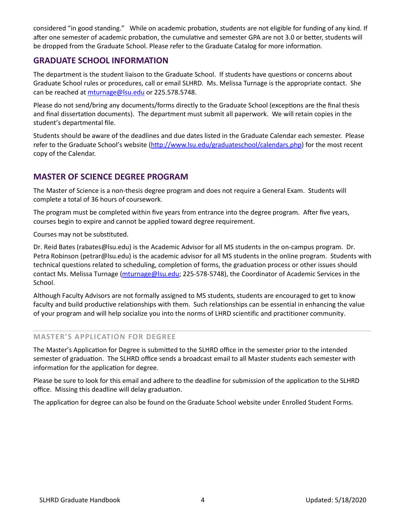considered "in good standing." While on academic probation, students are not eligible for funding of any kind. If after one semester of academic probation, the cumulative and semester GPA are not 3.0 or better, students will be dropped from the Graduate School. Please refer to the Graduate Catalog for more information.

# **GRADUATE SCHOOL INFORMATION**

The department is the student liaison to the Graduate School. If students have questions or concerns about Graduate School rules or procedures, call or email SLHRD. Ms. Melissa Turnage is the appropriate contact. She can be reached at [mturnage@lsu.edu](mailto:mturnage@lsu.edu) or 225.578.5748.

Please do not send/bring any documents/forms directly to the Graduate School (exceptions are the final thesis and final dissertation documents). The department must submit all paperwork. We will retain copies in the student's departmental file.

Students should be aware of the deadlines and due dates listed in the Graduate Calendar each semester. Please refer to the Graduate School's website [\(http://www.lsu.edu/graduateschool/calendars.php\)](http://www.lsu.edu/graduateschool/calendars.php) for the most recent copy of the Calendar.

# **MASTER OF SCIENCE DEGREE PROGRAM**

The Master of Science is a non-thesis degree program and does not require a General Exam. Students will complete a total of 36 hours of coursework.

The program must be completed within five years from entrance into the degree program. After five years, courses begin to expire and cannot be applied toward degree requirement.

Courses may not be substituted.

Dr. Reid Bates (rabates@lsu.edu) is the Academic Advisor for all MS students in the on-campus program. Dr. Petra Robinson (petrar@lsu.edu) is the academic advisor for all MS students in the online program. Students with technical questions related to scheduling, completion of forms, the graduation process or other issues should contact Ms. Melissa Turnage [\(mturnage@lsu.edu;](mailto:mturnage@lsu.edu) 225-578-5748), the Coordinator of Academic Services in the School.

Although Faculty Advisors are not formally assigned to MS students, students are encouraged to get to know faculty and build productive relationships with them. Such relationships can be essential in enhancing the value of your program and will help socialize you into the norms of LHRD scientific and practitioner community.

# **MASTER'S APPLICATION FOR DEGREE**

The Master's Application for Degree is submitted to the SLHRD office in the semester prior to the intended semester of graduation. The SLHRD office sends a broadcast email to all Master students each semester with information for the application for degree.

Please be sure to look for this email and adhere to the deadline for submission of the application to the SLHRD office. Missing this deadline will delay graduation.

The application for degree can also be found on the Graduate School website under Enrolled Student Forms.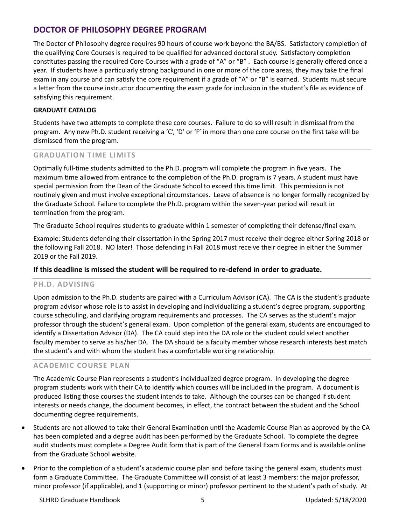# **DOCTOR OF PHILOSOPHY DEGREE PROGRAM**

The Doctor of Philosophy degree requires 90 hours of course work beyond the BA/BS. Satisfactory completion of the qualifying Core Courses is required to be qualified for advanced doctoral study. Satisfactory completion constitutes passing the required Core Courses with a grade of "A" or "B" . Each course is generally offered once a year. If students have a particularly strong background in one or more of the core areas, they may take the final exam in any course and can satisfy the core requirement if a grade of "A" or "B" is earned. Students must secure a letter from the course instructor documenting the exam grade for inclusion in the student's file as evidence of satisfying this requirement.

# **GRADUATE CATALOG**

Students have two attempts to complete these core courses. Failure to do so will result in dismissal from the program. Any new Ph.D. student receiving a 'C', 'D' or 'F' in more than one core course on the first take will be dismissed from the program.

# **GRADUATION TIME LIMITS**

Optimally full-time students admitted to the Ph.D. program will complete the program in five years. The maximum time allowed from entrance to the completion of the Ph.D. program is 7 years. A student must have special permission from the Dean of the Graduate School to exceed this time limit. This permission is not routinely given and must involve exceptional circumstances. Leave of absence is no longer formally recognized by the Graduate School. Failure to complete the Ph.D. program within the seven-year period will result in termination from the program.

The Graduate School requires students to graduate within 1 semester of completing their defense/final exam.

Example: Students defending their dissertation in the Spring 2017 must receive their degree either Spring 2018 or the following Fall 2018. NO later! Those defending in Fall 2018 must receive their degree in either the Summer 2019 or the Fall 2019.

# **If this deadline is missed the student will be required to re-defend in order to graduate.**

# **PH.D. ADVISING**

Upon admission to the Ph.D. students are paired with a Curriculum Advisor (CA). The CA is the student's graduate program advisor whose role is to assist in developing and individualizing a student's degree program, supporting course scheduling, and clarifying program requirements and processes. The CA serves as the student's major professor through the student's general exam. Upon completion of the general exam, students are encouraged to identify a Dissertation Advisor (DA). The CA could step into the DA role or the student could select another faculty member to serve as his/her DA. The DA should be a faculty member whose research interests best match the student's and with whom the student has a comfortable working relationship.

#### **ACADEMIC COURSE PLAN**

The Academic Course Plan represents a student's individualized degree program. In developing the degree program students work with their CA to identify which courses will be included in the program. A document is produced listing those courses the student intends to take. Although the courses can be changed if student interests or needs change, the document becomes, in effect, the contract between the student and the School documenting degree requirements.

- Students are not allowed to take their General Examination until the Academic Course Plan as approved by the CA has been completed and a degree audit has been performed by the Graduate School. To complete the degree audit students must complete a Degree Audit form that is part of the General Exam Forms and is available online from the Graduate School website.
- Prior to the completion of a student's academic course plan and before taking the general exam, students must form a Graduate Committee. The Graduate Committee will consist of at least 3 members: the major professor, minor professor (if applicable), and 1 (supporting or minor) professor pertinent to the student's path of study. At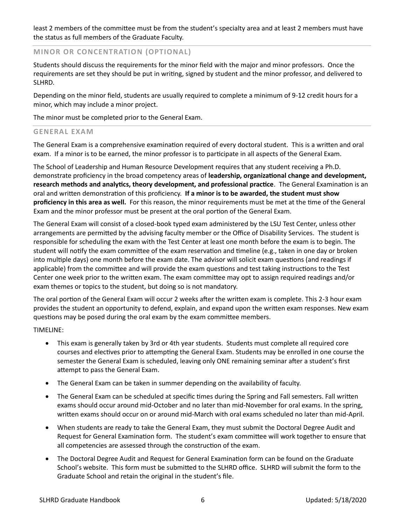least 2 members of the committee must be from the student's specialty area and at least 2 members must have the status as full members of the Graduate Faculty.

**MINOR OR CONCENTRATION (OPTIONAL)**

Students should discuss the requirements for the minor field with the major and minor professors. Once the requirements are set they should be put in writing, signed by student and the minor professor, and delivered to SLHRD.

Depending on the minor field, students are usually required to complete a minimum of 9-12 credit hours for a minor, which may include a minor project.

The minor must be completed prior to the General Exam.

# **GENERAL EXAM**

The General Exam is a comprehensive examination required of every doctoral student. This is a written and oral exam. If a minor is to be earned, the minor professor is to participate in all aspects of the General Exam.

The School of Leadership and Human Resource Development requires that any student receiving a Ph.D. demonstrate proficiency in the broad competency areas of **leadership, organizational change and development, research methods and analytics, theory development, and professional practice**. The General Examination is an oral and written demonstration of this proficiency. **If a minor is to be awarded, the student must show proficiency in this area as well.** For this reason, the minor requirements must be met at the time of the General Exam and the minor professor must be present at the oral portion of the General Exam.

The General Exam will consist of a closed-book typed exam administered by the LSU Test Center, unless other arrangements are permitted by the advising faculty member or the Office of Disability Services. The student is responsible for scheduling the exam with the Test Center at least one month before the exam is to begin. The student will notify the exam committee of the exam reservation and timeline (e.g., taken in one day or broken into multiple days) one month before the exam date. The advisor will solicit exam questions (and readings if applicable) from the committee and will provide the exam questions and test taking instructions to the Test Center one week prior to the written exam. The exam committee may opt to assign required readings and/or exam themes or topics to the student, but doing so is not mandatory.

The oral portion of the General Exam will occur 2 weeks after the written exam is complete. This 2-3 hour exam provides the student an opportunity to defend, explain, and expand upon the written exam responses. New exam questions may be posed during the oral exam by the exam committee members.

TIMELINE:

- This exam is generally taken by 3rd or 4th year students. Students must complete all required core courses and electives prior to attempting the General Exam. Students may be enrolled in one course the semester the General Exam is scheduled, leaving only ONE remaining seminar after a student's first attempt to pass the General Exam.
- The General Exam can be taken in summer depending on the availability of faculty.
- The General Exam can be scheduled at specific times during the Spring and Fall semesters. Fall written exams should occur around mid-October and no later than mid-November for oral exams. In the spring, written exams should occur on or around mid-March with oral exams scheduled no later than mid-April.
- When students are ready to take the General Exam, they must submit the Doctoral Degree Audit and Request for General Examination form. The student's exam committee will work together to ensure that all competencies are assessed through the construction of the exam.
- The Doctoral Degree Audit and Request for General Examination form can be found on the Graduate School's website. This form must be submitted to the SLHRD office. SLHRD will submit the form to the Graduate School and retain the original in the student's file.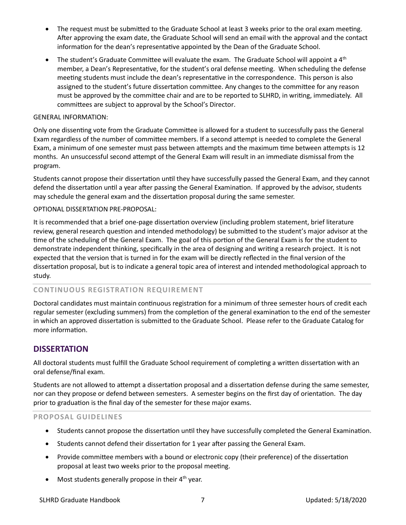- The request must be submitted to the Graduate School at least 3 weeks prior to the oral exam meeting. After approving the exam date, the Graduate School will send an email with the approval and the contact information for the dean's representative appointed by the Dean of the Graduate School.
- $\bullet$  The student's Graduate Committee will evaluate the exam. The Graduate School will appoint a 4<sup>th</sup> member, a Dean's Representative, for the student's oral defense meeting. When scheduling the defense meeting students must include the dean's representative in the correspondence. This person is also assigned to the student's future dissertation committee. Any changes to the committee for any reason must be approved by the committee chair and are to be reported to SLHRD, in writing, immediately. All committees are subject to approval by the School's Director.

#### GENERAL INFORMATION:

Only one dissenting vote from the Graduate Committee is allowed for a student to successfully pass the General Exam regardless of the number of committee members. If a second attempt is needed to complete the General Exam, a minimum of one semester must pass between attempts and the maximum time between attempts is 12 months. An unsuccessful second attempt of the General Exam will result in an immediate dismissal from the program.

Students cannot propose their dissertation until they have successfully passed the General Exam, and they cannot defend the dissertation until a year after passing the General Examination. If approved by the advisor, students may schedule the general exam and the dissertation proposal during the same semester.

#### OPTIONAL DISSERTATION PRE-PROPOSAL:

It is recommended that a brief one-page dissertation overview (including problem statement, brief literature review, general research question and intended methodology) be submitted to the student's major advisor at the time of the scheduling of the General Exam. The goal of this portion of the General Exam is for the student to demonstrate independent thinking, specifically in the area of designing and writing a research project. It is not expected that the version that is turned in for the exam will be directly reflected in the final version of the dissertation proposal, but is to indicate a general topic area of interest and intended methodological approach to study.

#### **CONTINUOUS REGISTRATION REQUIREMENT**

Doctoral candidates must maintain continuous registration for a minimum of three semester hours of credit each regular semester (excluding summers) from the completion of the general examination to the end of the semester in which an approved dissertation is submitted to the Graduate School. Please refer to the Graduate Catalog for more information.

# **DISSERTATION**

All doctoral students must fulfill the Graduate School requirement of completing a written dissertation with an oral defense/final exam.

Students are not allowed to attempt a dissertation proposal and a dissertation defense during the same semester, nor can they propose or defend between semesters. A semester begins on the first day of orientation. The day prior to graduation is the final day of the semester for these major exams.

#### **PROPOSAL GUIDELINES**

- Students cannot propose the dissertation until they have successfully completed the General Examination.
- Students cannot defend their dissertation for 1 year after passing the General Exam.
- Provide committee members with a bound or electronic copy (their preference) of the dissertation proposal at least two weeks prior to the proposal meeting.
- $\bullet$  Most students generally propose in their  $4<sup>th</sup>$  year.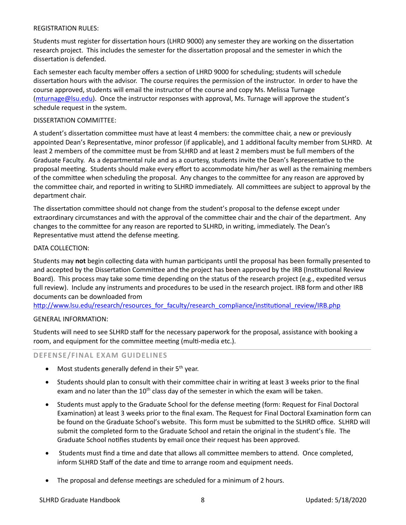#### REGISTRATION RULES:

Students must register for dissertation hours (LHRD 9000) any semester they are working on the dissertation research project. This includes the semester for the dissertation proposal and the semester in which the dissertation is defended.

Each semester each faculty member offers a section of LHRD 9000 for scheduling; students will schedule dissertation hours with the advisor. The course requires the permission of the instructor. In order to have the course approved, students will email the instructor of the course and copy Ms. Melissa Turnage [\(mturnage@lsu.edu\)](mailto:mturnage@lsu.edu). Once the instructor responses with approval, Ms. Turnage will approve the student's schedule request in the system.

## DISSERTATION COMMITTEE:

A student's dissertation committee must have at least 4 members: the committee chair, a new or previously appointed Dean's Representative, minor professor (if applicable), and 1 additional faculty member from SLHRD. At least 2 members of the committee must be from SLHRD and at least 2 members must be full members of the Graduate Faculty. As a departmental rule and as a courtesy, students invite the Dean's Representative to the proposal meeting. Students should make every effort to accommodate him/her as well as the remaining members of the committee when scheduling the proposal. Any changes to the committee for any reason are approved by the committee chair, and reported in writing to SLHRD immediately. All committees are subject to approval by the department chair.

The dissertation committee should not change from the student's proposal to the defense except under extraordinary circumstances and with the approval of the committee chair and the chair of the department. Any changes to the committee for any reason are reported to SLHRD, in writing, immediately. The Dean's Representative must attend the defense meeting.

#### DATA COLLECTION:

Students may **not** begin collecting data with human participants until the proposal has been formally presented to and accepted by the Dissertation Committee and the project has been approved by the IRB (Institutional Review Board). This process may take some time depending on the status of the research project (e.g., expedited versus full review). Include any instruments and procedures to be used in the research project. IRB form and other IRB documents can be downloaded from

[http://www.lsu.edu/research/resources\\_for\\_faculty/research\\_compliance/institutional\\_review/IRB.php](http://www.lsu.edu/research/resources_for_faculty/research_compliance/institutional_review/IRB.php)

# GENERAL INFORMATION:

Students will need to see SLHRD staff for the necessary paperwork for the proposal, assistance with booking a room, and equipment for the committee meeting (multi-media etc.).

#### **DEFENSE/FINAL EXAM GUIDELINES**

- $\bullet$  Most students generally defend in their 5<sup>th</sup> year.
- Students should plan to consult with their committee chair in writing at least 3 weeks prior to the final exam and no later than the  $10<sup>th</sup>$  class day of the semester in which the exam will be taken.
- Students must apply to the Graduate School for the defense meeting (form: Request for Final Doctoral Examination) at least 3 weeks prior to the final exam. The Request for Final Doctoral Examination form can be found on the Graduate School's website. This form must be submitted to the SLHRD office. SLHRD will submit the completed form to the Graduate School and retain the original in the student's file. The Graduate School notifies students by email once their request has been approved.
- Students must find a time and date that allows all committee members to attend. Once completed, inform SLHRD Staff of the date and time to arrange room and equipment needs.
- The proposal and defense meetings are scheduled for a minimum of 2 hours.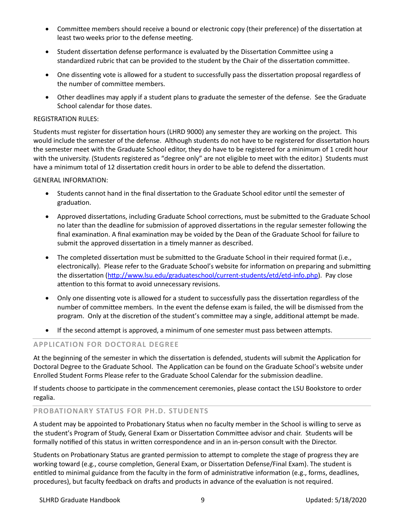- Committee members should receive a bound or electronic copy (their preference) of the dissertation at least two weeks prior to the defense meeting.
- Student dissertation defense performance is evaluated by the Dissertation Committee using a standardized rubric that can be provided to the student by the Chair of the dissertation committee.
- One dissenting vote is allowed for a student to successfully pass the dissertation proposal regardless of the number of committee members.
- Other deadlines may apply if a student plans to graduate the semester of the defense. See the Graduate School calendar for those dates.

## REGISTRATION RULES:

Students must register for dissertation hours (LHRD 9000) any semester they are working on the project. This would include the semester of the defense. Although students do not have to be registered for dissertation hours the semester meet with the Graduate School editor, they do have to be registered for a minimum of 1 credit hour with the university. (Students registered as "degree only" are not eligible to meet with the editor.) Students must have a minimum total of 12 dissertation credit hours in order to be able to defend the dissertation.

#### GENERAL INFORMATION:

- Students cannot hand in the final dissertation to the Graduate School editor until the semester of graduation.
- Approved dissertations, including Graduate School corrections, must be submitted to the Graduate School no later than the deadline for submission of approved dissertations in the regular semester following the final examination. A final examination may be voided by the Dean of the Graduate School for failure to submit the approved dissertation in a timely manner as described.
- The completed dissertation must be submitted to the Graduate School in their required format (i.e., electronically). Please refer to the Graduate School's website for information on preparing and submitting the dissertation [\(http://www.lsu.edu/graduateschool/current-students/etd/etd-info.php\)](http://www.lsu.edu/graduateschool/current-students/etd/etd-info.php). Pay close attention to this format to avoid unnecessary revisions.
- Only one dissenting vote is allowed for a student to successfully pass the dissertation regardless of the number of committee members. In the event the defense exam is failed, the will be dismissed from the program. Only at the discretion of the student's committee may a single, additional attempt be made.
- If the second attempt is approved, a minimum of one semester must pass between attempts.

# **APPLICATION FOR DOCTORAL DEGREE**

At the beginning of the semester in which the dissertation is defended, students will submit the Application for Doctoral Degree to the Graduate School. The Application can be found on the Graduate School's website under Enrolled Student Forms Please refer to the Graduate School Calendar for the submission deadline.

If students choose to participate in the commencement ceremonies, please contact the LSU Bookstore to order regalia.

#### **PROBATIONARY STATUS FOR PH.D. STUDENTS**

A student may be appointed to Probationary Status when no faculty member in the School is willing to serve as the student's Program of Study, General Exam or Dissertation Committee advisor and chair. Students will be formally notified of this status in written correspondence and in an in-person consult with the Director.

Students on Probationary Status are granted permission to attempt to complete the stage of progress they are working toward (e.g., course completion, General Exam, or Dissertation Defense/Final Exam). The student is entitled to minimal guidance from the faculty in the form of administrative information (e.g., forms, deadlines, procedures), but faculty feedback on drafts and products in advance of the evaluation is not required.